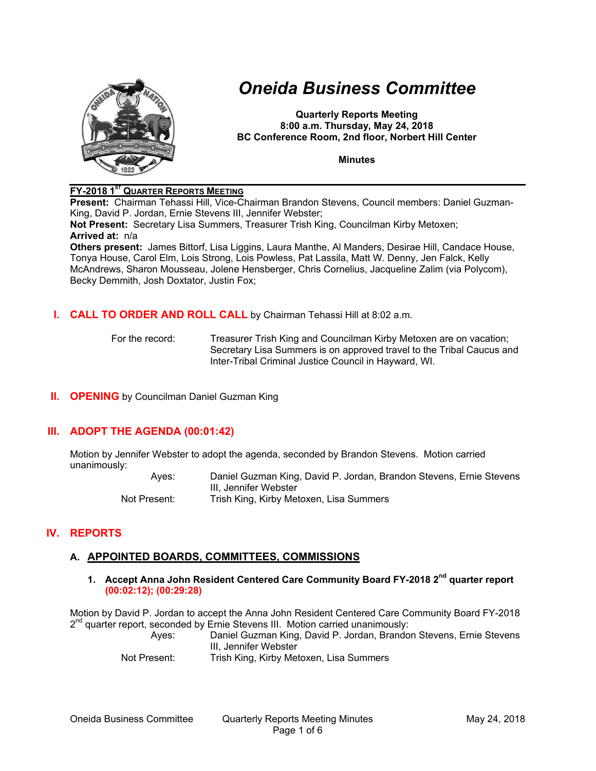

# *Oneida Business Committee*

**Quarterly Reports Meeting 8:00 a.m. Thursday, May 24, 2018 BC Conference Room, 2nd floor, Norbert Hill Center** 

**Minutes** 

#### **FY-2018 1ST QUARTER REPORTS MEETING**

**Present:** Chairman Tehassi Hill, Vice-Chairman Brandon Stevens, Council members: Daniel Guzman-King, David P. Jordan, Ernie Stevens III, Jennifer Webster;

**Not Present:** Secretary Lisa Summers, Treasurer Trish King, Councilman Kirby Metoxen; **Arrived at:** n/a

**Others present:** James Bittorf, Lisa Liggins, Laura Manthe, Al Manders, Desirae Hill, Candace House, Tonya House, Carol Elm, Lois Strong, Lois Powless, Pat Lassila, Matt W. Denny, Jen Falck, Kelly McAndrews, Sharon Mousseau, Jolene Hensberger, Chris Cornelius, Jacqueline Zalim (via Polycom), Becky Demmith, Josh Doxtator, Justin Fox;

#### **I. CALL TO ORDER AND ROLL CALL** by Chairman Tehassi Hill at 8:02 a.m.

For the record: Treasurer Trish King and Councilman Kirby Metoxen are on vacation; Secretary Lisa Summers is on approved travel to the Tribal Caucus and Inter-Tribal Criminal Justice Council in Hayward, WI.

## **II. OPENING** by Councilman Daniel Guzman King

# **III. ADOPT THE AGENDA (00:01:42)**

Motion by Jennifer Webster to adopt the agenda, seconded by Brandon Stevens. Motion carried unanimously:

Ayes: Daniel Guzman King, David P. Jordan, Brandon Stevens, Ernie Stevens III, Jennifer Webster Not Present: Trish King, Kirby Metoxen, Lisa Summers

# **IV. REPORTS**

## **A. APPOINTED BOARDS, COMMITTEES, COMMISSIONS**

**1. Accept Anna John Resident Centered Care Community Board FY-2018 2nd quarter report (00:02:12); (00:29:28)**

Motion by David P. Jordan to accept the Anna John Resident Centered Care Community Board FY-2018  $2^{nd}$  quarter report, seconded by Ernie Stevens III. Motion carried unanimously:

Ayes: Daniel Guzman King, David P. Jordan, Brandon Stevens, Ernie Stevens III, Jennifer Webster

Not Present: Trish King, Kirby Metoxen, Lisa Summers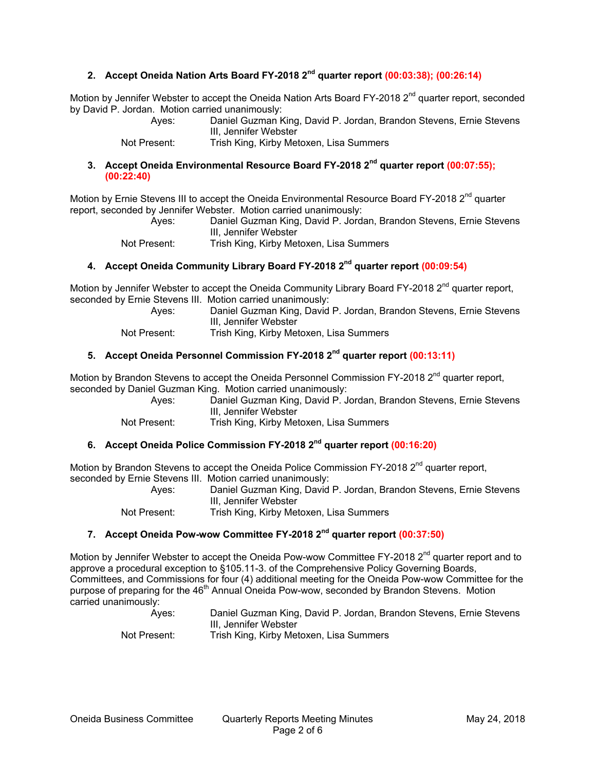## **2. Accept Oneida Nation Arts Board FY-2018 2nd quarter report (00:03:38); (00:26:14)**

Motion by Jennifer Webster to accept the Oneida Nation Arts Board FY-2018 2<sup>nd</sup> quarter report, seconded by David P. Jordan. Motion carried unanimously:

Ayes: Daniel Guzman King, David P. Jordan, Brandon Stevens, Ernie Stevens III, Jennifer Webster

Not Present: Trish King, Kirby Metoxen, Lisa Summers

#### **3. Accept Oneida Environmental Resource Board FY-2018 2nd quarter report (00:07:55); (00:22:40)**

Motion by Ernie Stevens III to accept the Oneida Environmental Resource Board FY-2018 2<sup>nd</sup> quarter report, seconded by Jennifer Webster. Motion carried unanimously:

Ayes: Daniel Guzman King, David P. Jordan, Brandon Stevens, Ernie Stevens III, Jennifer Webster

Not Present: Trish King, Kirby Metoxen, Lisa Summers

### **4. Accept Oneida Community Library Board FY-2018 2nd quarter report (00:09:54)**

Motion by Jennifer Webster to accept the Oneida Community Library Board FY-2018  $2<sup>nd</sup>$  quarter report, seconded by Ernie Stevens III. Motion carried unanimously:

| Ayes:                                     | Daniel Guzman King, David P. Jordan, Brandon Stevens, Ernie Stevens |
|-------------------------------------------|---------------------------------------------------------------------|
|                                           | III, Jennifer Webster                                               |
| $\sim$ $\sim$ $\sim$ $\sim$ $\sim$ $\sim$ | $\tau$ rich King Kirhy Mateyan Lieg Cummare                         |

Not Present: Trish King, Kirby Metoxen, Lisa Summers

## **5. Accept Oneida Personnel Commission FY-2018 2nd quarter report (00:13:11)**

Motion by Brandon Stevens to accept the Oneida Personnel Commission FY-2018 2<sup>nd</sup> quarter report. seconded by Daniel Guzman King. Motion carried unanimously:

| Ayes: | Daniel Guzman King, David P. Jordan, Brandon Stevens, Ernie Stevens |
|-------|---------------------------------------------------------------------|
|       | III, Jennifer Webster                                               |
|       |                                                                     |

Not Present: Trish King, Kirby Metoxen, Lisa Summers

#### **6. Accept Oneida Police Commission FY-2018 2nd quarter report (00:16:20)**

Motion by Brandon Stevens to accept the Oneida Police Commission  $FY-2018 2<sup>nd</sup>$  quarter report, seconded by Ernie Stevens III. Motion carried unanimously:

Ayes: Daniel Guzman King, David P. Jordan, Brandon Stevens, Ernie Stevens III, Jennifer Webster

Not Present: Trish King, Kirby Metoxen, Lisa Summers

#### **7. Accept Oneida Pow-wow Committee FY-2018 2nd quarter report (00:37:50)**

Motion by Jennifer Webster to accept the Oneida Pow-wow Committee FY-2018 2<sup>nd</sup> quarter report and to approve a procedural exception to §105.11-3. of the Comprehensive Policy Governing Boards, Committees, and Commissions for four (4) additional meeting for the Oneida Pow-wow Committee for the purpose of preparing for the 46<sup>th</sup> Annual Oneida Pow-wow, seconded by Brandon Stevens. Motion carried unanimously:

| Aves:        | Daniel Guzman King, David P. Jordan, Brandon Stevens, Ernie Stevens |
|--------------|---------------------------------------------------------------------|
|              | III. Jennifer Webster                                               |
| Not Present: | Trish King, Kirby Metoxen, Lisa Summers                             |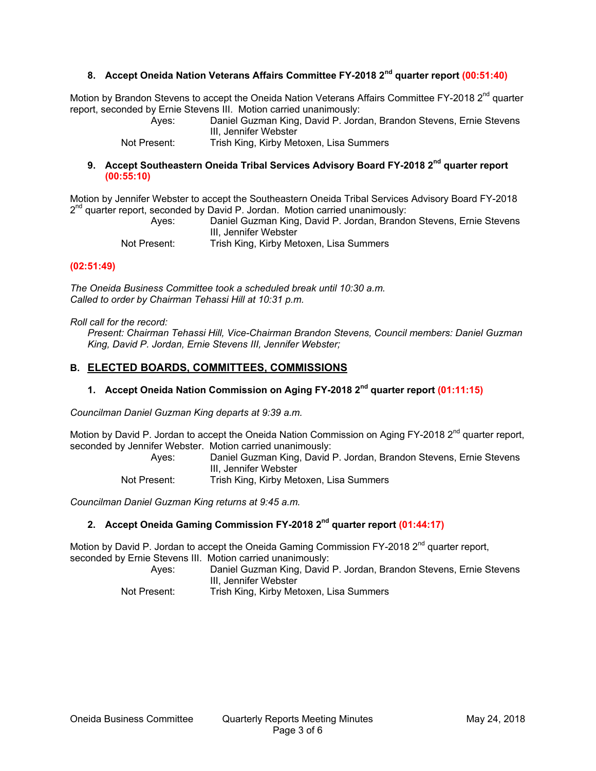#### **8. Accept Oneida Nation Veterans Affairs Committee FY-2018 2nd quarter report (00:51:40)**

Motion by Brandon Stevens to accept the Oneida Nation Veterans Affairs Committee FY-2018 2<sup>nd</sup> quarter report, seconded by Ernie Stevens III. Motion carried unanimously:

> Ayes: Daniel Guzman King, David P. Jordan, Brandon Stevens, Ernie Stevens III, Jennifer Webster

Not Present: Trish King, Kirby Metoxen, Lisa Summers

#### **9. Accept Southeastern Oneida Tribal Services Advisory Board FY-2018 2nd quarter report (00:55:10)**

Motion by Jennifer Webster to accept the Southeastern Oneida Tribal Services Advisory Board FY-2018  $2^{nd}$  quarter report, seconded by David P. Jordan. Motion carried unanimously:

Ayes: Daniel Guzman King, David P. Jordan, Brandon Stevens, Ernie Stevens III, Jennifer Webster

Not Present: Trish King, Kirby Metoxen, Lisa Summers

#### **(02:51:49)**

*The Oneida Business Committee took a scheduled break until 10:30 a.m. Called to order by Chairman Tehassi Hill at 10:31 p.m.* 

*Roll call for the record:* 

*Present: Chairman Tehassi Hill, Vice-Chairman Brandon Stevens, Council members: Daniel Guzman King, David P. Jordan, Ernie Stevens III, Jennifer Webster;* 

#### **B. ELECTED BOARDS, COMMITTEES, COMMISSIONS**

#### **1. Accept Oneida Nation Commission on Aging FY-2018 2nd quarter report (01:11:15)**

*Councilman Daniel Guzman King departs at 9:39 a.m.* 

Motion by David P. Jordan to accept the Oneida Nation Commission on Aging FY-2018 2<sup>nd</sup> quarter report. seconded by Jennifer Webster. Motion carried unanimously:

Ayes: Daniel Guzman King, David P. Jordan, Brandon Stevens, Ernie Stevens III, Jennifer Webster

Not Present: Trish King, Kirby Metoxen, Lisa Summers

*Councilman Daniel Guzman King returns at 9:45 a.m.* 

#### **2. Accept Oneida Gaming Commission FY-2018 2nd quarter report (01:44:17)**

Motion by David P. Jordan to accept the Oneida Gaming Commission FY-2018  $2^{nd}$  quarter report, seconded by Ernie Stevens III. Motion carried unanimously:

| Aves:        | Daniel Guzman King, David P. Jordan, Brandon Stevens, Ernie Stevens |
|--------------|---------------------------------------------------------------------|
|              | III. Jennifer Webster                                               |
| Not Present: | Trish King, Kirby Metoxen, Lisa Summers                             |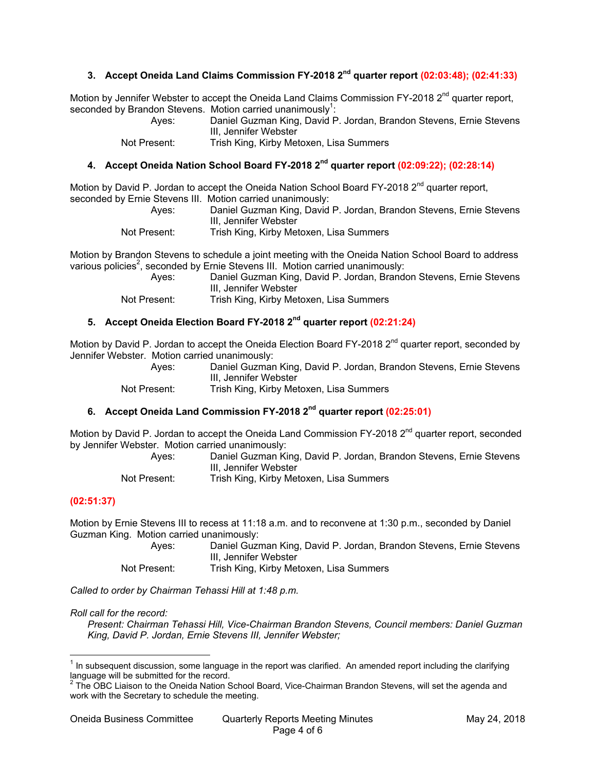#### **3. Accept Oneida Land Claims Commission FY-2018 2nd quarter report (02:03:48); (02:41:33)**

Motion by Jennifer Webster to accept the Oneida Land Claims Commission  $FY-2018 2<sup>nd</sup>$  quarter report, seconded by Brandon Stevens. Motion carried unanimously<sup>1</sup>:

Ayes: Daniel Guzman King, David P. Jordan, Brandon Stevens, Ernie Stevens III, Jennifer Webster

Not Present: Trish King, Kirby Metoxen, Lisa Summers

### **4. Accept Oneida Nation School Board FY-2018 2nd quarter report (02:09:22); (02:28:14)**

Motion by David P. Jordan to accept the Oneida Nation School Board FY-2018 2<sup>nd</sup> quarter report, seconded by Ernie Stevens III. Motion carried unanimously:

Ayes: Daniel Guzman King, David P. Jordan, Brandon Stevens, Ernie Stevens III, Jennifer Webster

Not Present: Trish King, Kirby Metoxen, Lisa Summers

Motion by Brandon Stevens to schedule a joint meeting with the Oneida Nation School Board to address various policies<sup>2</sup>, seconded by Ernie Stevens III. Motion carried unanimously:

Ayes: Daniel Guzman King, David P. Jordan, Brandon Stevens, Ernie Stevens III, Jennifer Webster

Not Present: Trish King, Kirby Metoxen, Lisa Summers

## **5. Accept Oneida Election Board FY-2018 2nd quarter report (02:21:24)**

Motion by David P. Jordan to accept the Oneida Election Board FY-2018 2<sup>nd</sup> quarter report, seconded by Jennifer Webster. Motion carried unanimously:

Ayes: Daniel Guzman King, David P. Jordan, Brandon Stevens, Ernie Stevens III, Jennifer Webster

Not Present: Trish King, Kirby Metoxen, Lisa Summers

#### **6. Accept Oneida Land Commission FY-2018 2nd quarter report (02:25:01)**

Motion by David P. Jordan to accept the Oneida Land Commission FY-2018 2<sup>nd</sup> quarter report, seconded by Jennifer Webster. Motion carried unanimously:

Ayes: Daniel Guzman King, David P. Jordan, Brandon Stevens, Ernie Stevens III, Jennifer Webster Not Present: Trish King, Kirby Metoxen, Lisa Summers

#### **(02:51:37)**

 $\overline{a}$ 

Motion by Ernie Stevens III to recess at 11:18 a.m. and to reconvene at 1:30 p.m., seconded by Daniel Guzman King. Motion carried unanimously:

| Aves:        | Daniel Guzman King, David P. Jordan, Brandon Stevens, Ernie Stevens |
|--------------|---------------------------------------------------------------------|
|              | III. Jennifer Webster                                               |
| Not Present: | Trish King, Kirby Metoxen, Lisa Summers                             |

*Called to order by Chairman Tehassi Hill at 1:48 p.m.* 

*Roll call for the record:* 

*Present: Chairman Tehassi Hill, Vice-Chairman Brandon Stevens, Council members: Daniel Guzman King, David P. Jordan, Ernie Stevens III, Jennifer Webster;* 

 $1$  In subsequent discussion, some language in the report was clarified. An amended report including the clarifying language will be submitted for the record.<br><sup>2</sup> The OBC Liaison to the Oneida Nation School Board, Vice-Chairman Brandon Stevens, will set the agenda and

work with the Secretary to schedule the meeting.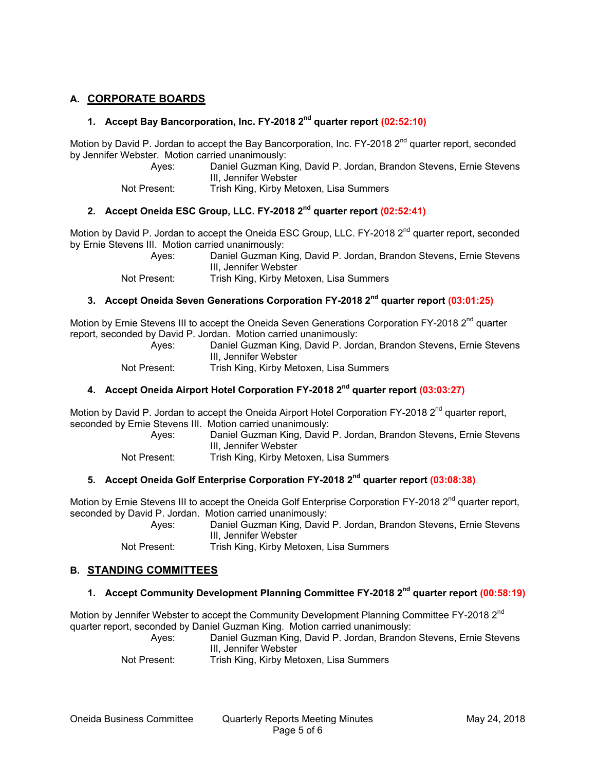## **A. CORPORATE BOARDS**

#### **1. Accept Bay Bancorporation, Inc. FY-2018 2nd quarter report (02:52:10)**

Motion by David P. Jordan to accept the Bay Bancorporation, Inc. FY-2018 2<sup>nd</sup> quarter report, seconded by Jennifer Webster. Motion carried unanimously:

Ayes: Daniel Guzman King, David P. Jordan, Brandon Stevens, Ernie Stevens III, Jennifer Webster

Not Present: Trish King, Kirby Metoxen, Lisa Summers

# **2. Accept Oneida ESC Group, LLC. FY-2018 2nd quarter report (02:52:41)**

Motion by David P. Jordan to accept the Oneida ESC Group, LLC. FY-2018 2<sup>nd</sup> quarter report, seconded by Ernie Stevens III. Motion carried unanimously:

Ayes: Daniel Guzman King, David P. Jordan, Brandon Stevens, Ernie Stevens III, Jennifer Webster

Not Present: Trish King, Kirby Metoxen, Lisa Summers

## **3. Accept Oneida Seven Generations Corporation FY-2018 2nd quarter report (03:01:25)**

Motion by Ernie Stevens III to accept the Oneida Seven Generations Corporation FY-2018 2<sup>nd</sup> quarter report, seconded by David P. Jordan. Motion carried unanimously:

Daniel Guzman King, David P. Jordan, Brandon Stevens, Ernie Stevens III, Jennifer Webster

Not Present: Trish King, Kirby Metoxen, Lisa Summers

#### **4. Accept Oneida Airport Hotel Corporation FY-2018 2nd quarter report (03:03:27)**

Motion by David P. Jordan to accept the Oneida Airport Hotel Corporation FY-2018 2<sup>nd</sup> quarter report, seconded by Ernie Stevens III. Motion carried unanimously:

Ayes: Daniel Guzman King, David P. Jordan, Brandon Stevens, Ernie Stevens III, Jennifer Webster

Not Present: Trish King, Kirby Metoxen, Lisa Summers

# **5. Accept Oneida Golf Enterprise Corporation FY-2018 2nd quarter report (03:08:38)**

Motion by Ernie Stevens III to accept the Oneida Golf Enterprise Corporation FY-2018 2<sup>nd</sup> quarter report. seconded by David P. Jordan. Motion carried unanimously:

Ayes: Daniel Guzman King, David P. Jordan, Brandon Stevens, Ernie Stevens III, Jennifer Webster

Not Present: Trish King, Kirby Metoxen, Lisa Summers

## **B. STANDING COMMITTEES**

## **1. Accept Community Development Planning Committee FY-2018 2nd quarter report (00:58:19)**

Motion by Jennifer Webster to accept the Community Development Planning Committee FY-2018 2<sup>nd</sup> quarter report, seconded by Daniel Guzman King. Motion carried unanimously:

Ayes: Daniel Guzman King, David P. Jordan, Brandon Stevens, Ernie Stevens III, Jennifer Webster

Not Present: Trish King, Kirby Metoxen, Lisa Summers